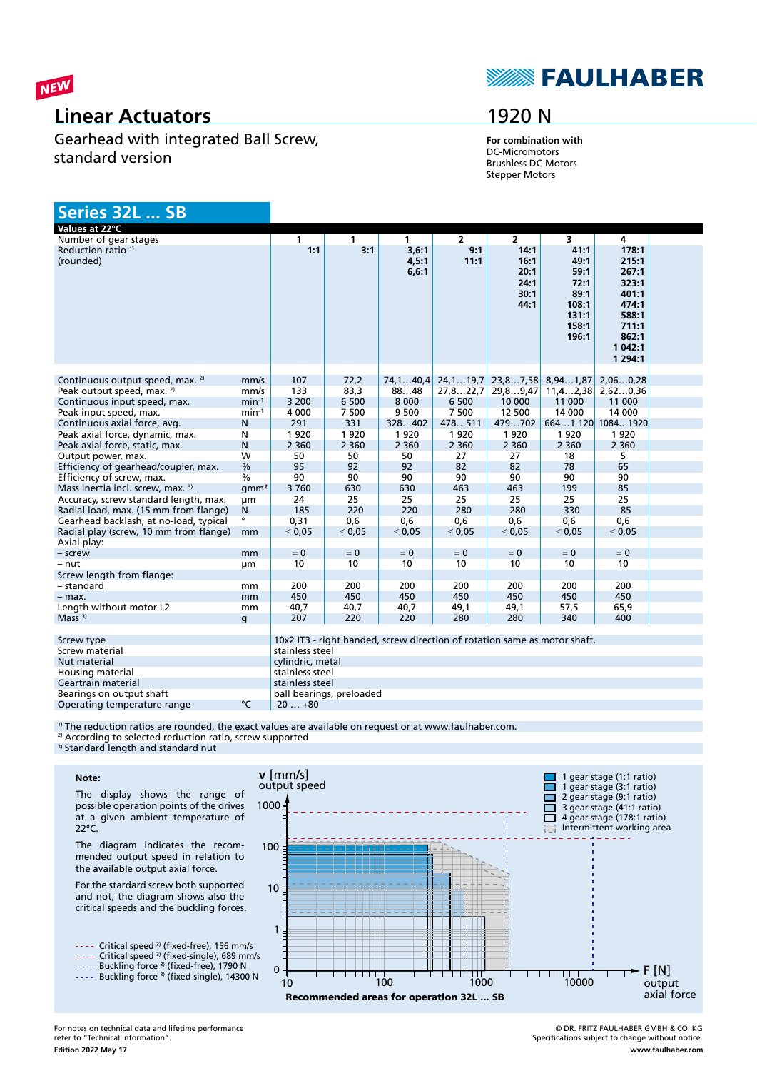

### **Linear Actuators**

Gearhead with integrated Ball Screw, standard version

# **SEAULHABER**

## 1920 N

**For combination with** DC-Micromotors Brushless DC-Motors Stepper Motors

| Series 32L  SB                              |                  |                  |                          |                                                                           |                |                                              |                                                                          |                                                                                                       |  |
|---------------------------------------------|------------------|------------------|--------------------------|---------------------------------------------------------------------------|----------------|----------------------------------------------|--------------------------------------------------------------------------|-------------------------------------------------------------------------------------------------------|--|
| Values at 22°C                              |                  |                  |                          |                                                                           |                |                                              |                                                                          |                                                                                                       |  |
| Number of gear stages                       |                  | $\mathbf{1}$     | $\mathbf{1}$             | $\mathbf{1}$                                                              | $\overline{2}$ | $\overline{2}$                               | $\overline{\mathbf{3}}$                                                  | $\overline{4}$                                                                                        |  |
| Reduction ratio <sup>1)</sup><br>(rounded)  |                  | 1:1              | 3:1                      | 3,6:1<br>4,5:1<br>6, 6:1                                                  | 9:1<br>11:1    | 14:1<br>16:1<br>20:1<br>24:1<br>30:1<br>44:1 | 41:1<br>49:1<br>59:1<br>72:1<br>89:1<br>108:1<br>131:1<br>158:1<br>196:1 | 178:1<br>215:1<br>267:1<br>323:1<br>401:1<br>474:1<br>588:1<br>711:1<br>862:1<br>1 042:1<br>1 2 9 4:1 |  |
| Continuous output speed, max. <sup>2)</sup> | mm/s             | 107              | 72,2                     | 74, 140, 4                                                                | 24, 119, 7     | 23,87,58                                     | 8,941,87                                                                 | 2,060,28                                                                                              |  |
| Peak output speed, max. <sup>2)</sup>       | mm/s             | 133              | 83,3                     | 8848                                                                      | 27,822,7       | 29,89,47                                     | 11, 42, 38                                                               | 2,620,36                                                                                              |  |
| Continuous input speed, max.                | $min-1$          | 3 2 0 0          | 6 500                    | 8 0 0 0                                                                   | 6 500          | 10 000                                       | 11 000                                                                   | 11 000                                                                                                |  |
| Peak input speed, max.                      | $min-1$          | 4 0 0 0          | 7 500                    | 9 500                                                                     | 7 500          | 12 500                                       | 14 000                                                                   | 14 000                                                                                                |  |
| Continuous axial force, avg.                | Ν                | 291              | 331                      | 328402                                                                    | 478511         | 479702                                       |                                                                          | 6641 120 10841920                                                                                     |  |
| Peak axial force, dynamic, max.             | N                | 1920             | 1920                     | 1920                                                                      | 1920           | 1920                                         | 1920                                                                     | 1920                                                                                                  |  |
| Peak axial force, static, max.              | N                | 2 3 6 0          | 2 3 6 0                  | 2 3 6 0                                                                   | 2 3 6 0        | 2 3 6 0                                      | 2 3 6 0                                                                  | 2 3 6 0                                                                                               |  |
|                                             | W                | 50               |                          |                                                                           | 27             | 27                                           | 18                                                                       |                                                                                                       |  |
| Output power, max.                          | $\frac{0}{0}$    | 95               | 50<br>92                 | 50<br>92                                                                  | 82             | 82                                           | 78                                                                       | 5.<br>65                                                                                              |  |
| Efficiency of gearhead/coupler, max.        |                  |                  |                          |                                                                           |                |                                              |                                                                          |                                                                                                       |  |
| Efficiency of screw, max.                   | $\frac{0}{0}$    | 90               | 90                       | 90                                                                        | 90             | 90                                           | 90                                                                       | 90                                                                                                    |  |
| Mass inertia incl. screw, max. 3)           | qmm <sup>2</sup> | 3760             | 630                      | 630                                                                       | 463            | 463                                          | 199                                                                      | 85                                                                                                    |  |
| Accuracy, screw standard length, max.       | μm               | 24               | 25                       | 25                                                                        | 25             | 25                                           | 25                                                                       | 25                                                                                                    |  |
| Radial load, max. (15 mm from flange)       | N<br>$\bullet$   | 185              | 220                      | 220                                                                       | 280            | 280                                          | 330                                                                      | 85                                                                                                    |  |
| Gearhead backlash, at no-load, typical      |                  | 0.31             | 0.6                      | 0.6                                                                       | 0.6            | 0.6                                          | 0.6                                                                      | 0.6                                                                                                   |  |
| Radial play (screw, 10 mm from flange)      | mm               | $\leq 0.05$      | $\leq 0.05$              | $\leq 0.05$                                                               | $\leq 0.05$    | $\leq 0.05$                                  | $\leq 0.05$                                                              | $\leq 0.05$                                                                                           |  |
| Axial play:                                 |                  |                  |                          |                                                                           |                |                                              |                                                                          |                                                                                                       |  |
| - screw                                     | mm               | $= 0$            | $= 0$                    | $= 0$                                                                     | $= 0$          | $= 0$                                        | $= 0$                                                                    | $= 0$                                                                                                 |  |
| - nut                                       | μm               | 10               | 10                       | 10                                                                        | 10             | 10                                           | 10                                                                       | 10                                                                                                    |  |
| Screw length from flange:                   |                  |                  |                          |                                                                           |                |                                              |                                                                          |                                                                                                       |  |
| - standard                                  | mm               | 200              | 200                      | 200                                                                       | 200            | 200                                          | 200                                                                      | 200                                                                                                   |  |
| $-$ max.                                    | mm               | 450              | 450                      | 450                                                                       | 450            | 450                                          | 450                                                                      | 450                                                                                                   |  |
| Length without motor L2                     | mm               | 40,7             | 40,7                     | 40,7                                                                      | 49,1           | 49,1                                         | 57,5                                                                     | 65,9                                                                                                  |  |
| Mass <sup>3</sup>                           | g                | 207              | 220                      | 220                                                                       | 280            | 280                                          | 340                                                                      | 400                                                                                                   |  |
| Screw type                                  |                  |                  |                          | 10x2 IT3 - right handed, screw direction of rotation same as motor shaft. |                |                                              |                                                                          |                                                                                                       |  |
| Screw material                              |                  | stainless steel  |                          |                                                                           |                |                                              |                                                                          |                                                                                                       |  |
| Nut material                                |                  | cylindric, metal |                          |                                                                           |                |                                              |                                                                          |                                                                                                       |  |
| Housing material                            |                  | stainless steel  |                          |                                                                           |                |                                              |                                                                          |                                                                                                       |  |
| Geartrain material                          |                  | stainless steel  |                          |                                                                           |                |                                              |                                                                          |                                                                                                       |  |
| Bearings on output shaft                    |                  |                  | ball bearings, preloaded |                                                                           |                |                                              |                                                                          |                                                                                                       |  |

<sup>1)</sup> The reduction ratios are rounded, the exact values are available on request or at www.faulhaber.com. Operating temperature range  ${}^{\circ}$ C  $|$ -20 ... +80

<sup>2)</sup> According to selected reduction ratio, screw supported

<sup>3)</sup> Standard length and standard nut



The display shows the range of possible operation points of the drives at a given ambient temperature of 22°C.

The diagram indicates the recommended output speed in relation to the available output axial force.

For the stardard screw both supported and not, the diagram shows also the critical speeds and the buckling forces.

---- Critical speed <sup>3)</sup> (fixed-free), 156 mm/s Critical speed 3) (fixed-single), 689 mm/s

Buckling force <sup>3)</sup> (fixed-free), 1790 N Buckling force <sup>3)</sup> (fixed-single), 14300 N



© DR. FRITZ FAULHABER GMBH & CO. KG Specifications subject to change without notice. **www.faulhaber.com**